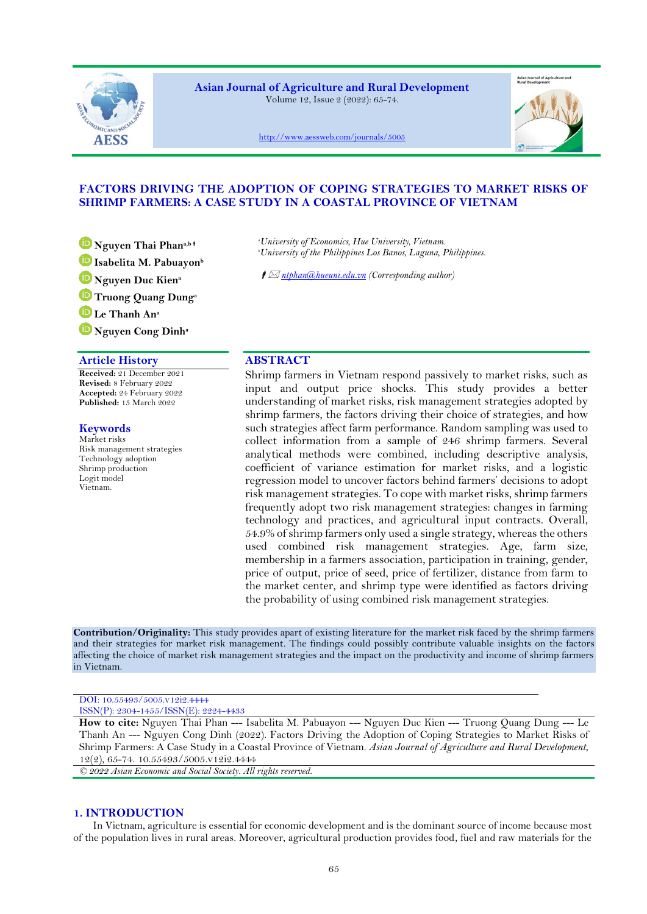

**Asian Journal of Agriculture and Rural Development** Volume 12, Issue 2 (2022): 65-74.



<http://www.aessweb.com/journals/5005>

# **FACTORS DRIVING THE ADOPTION OF COPING STRATEGIES TO MARKET RISKS OF SHRIMP FARMERS: A CASE STUDY IN A COASTAL PROVINCE OF VIETNAM**

- **[N](https://orcid.org/0000-0001-7533-5057)guyen Thai Phana,b [I](https://orcid.org/0000-0001-8500-2619)sabelita M. Pabuayon<sup>b</sup>**
- **[N](https://orcid.org/0000-0001-7757-6225)guyen Duc Kien<sup>a</sup>**
- **[T](https://orcid.org/0000-0002-5108-5062)ruong Quang Dung<sup>a</sup>**
- **[L](https://orcid.org/0000-0002-9905-6797)e Thanh An<sup>a</sup>**
- **[N](https://orcid.org/0000-0002-4679-6775)guyen Cong Dinh<sup>a</sup>**

# **Article History ABSTRACT**

**Received:** 21 December 2021 **Revised:** 8 February 2022 **Accepted:** 24 February 2022 **Published:** 15 March 2022

# **Keywords**

Market risks Risk management strategies Technology adoption Shrimp production Logit model Vietnam.

*<sup>a</sup>University of Economics, Hue University, Vietnam. <sup>b</sup>University of the Philippines Los Banos, Laguna, Philippines.*

*ntphan@hueuni.edu.vn (Corresponding author)*

Shrimp farmers in Vietnam respond passively to market risks, such as input and output price shocks. This study provides a better understanding of market risks, risk management strategies adopted by shrimp farmers, the factors driving their choice of strategies, and how such strategies affect farm performance. Random sampling was used to collect information from a sample of 246 shrimp farmers. Several analytical methods were combined, including descriptive analysis, coefficient of variance estimation for market risks, and a logistic regression model to uncover factors behind farmers' decisions to adopt risk management strategies. To cope with market risks, shrimp farmers frequently adopt two risk management strategies: changes in farming technology and practices, and agricultural input contracts. Overall, 54.9% of shrimp farmers only used a single strategy, whereas the others used combined risk management strategies. Age, farm size, membership in a farmers association, participation in training, gender, price of output, price of seed, price of fertilizer, distance from farm to the market center, and shrimp type were identified as factors driving the probability of using combined risk management strategies.

**Contribution/Originality:** This study provides apart of existing literature for the market risk faced by the shrimp farmers and their strategies for market risk management. The findings could possibly contribute valuable insights on the factors affecting the choice of market risk management strategies and the impact on the productivity and income of shrimp farmers in Vietnam.

#### DOI: 10.55493/5005.v12i2.4444 ISSN(P): 2304-1455/ISSN(E): 2224-4433

**How to cite:** Nguyen Thai Phan --- Isabelita M. Pabuayon --- Nguyen Duc Kien --- Truong Quang Dung --- Le Thanh An --- Nguyen Cong Dinh (2022). Factors Driving the Adoption of Coping Strategies to Market Risks of Shrimp Farmers: A Case Study in a Coastal Province of Vietnam. *Asian Journal of Agriculture and Rural Development*, 12(2), 65-74. 10.55493/5005.v12i2.4444

*© 2022 Asian Economic and Social Society. All rights reserved.*

# **1. INTRODUCTION**

In Vietnam, agriculture is essential for economic development and is the dominant source of income because most of the population lives in rural areas. Moreover, agricultural production provides food, fuel and raw materials for the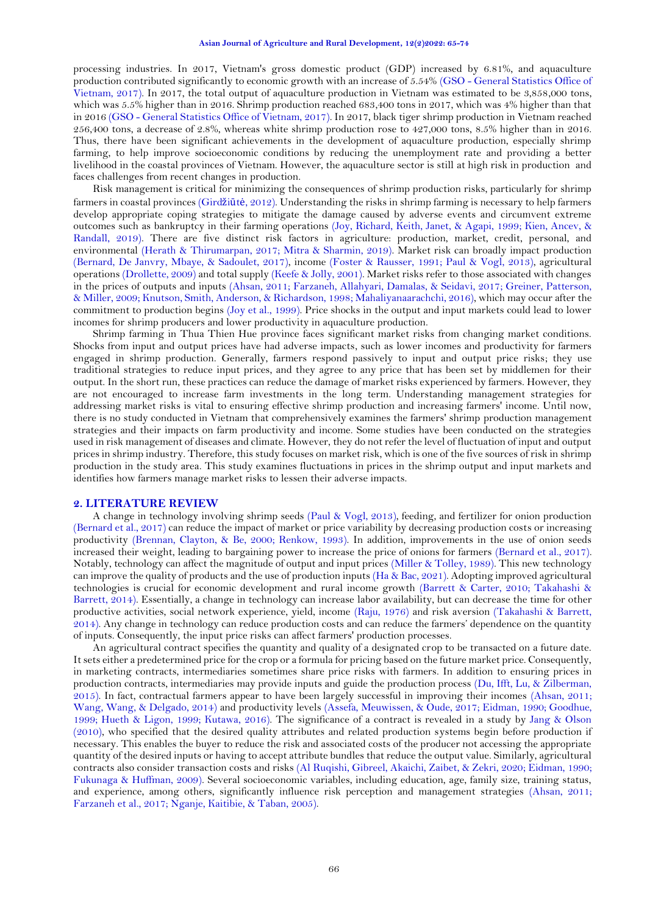processing industries. In 2017, Vietnam's gross domestic product (GDP) increased by 6.81%, and aquaculture production contributed significantly to economic growth with an increase of 5.54% (GSO - [General Statistics Office of](#page-8-0)  [Vietnam, 2017\)](#page-8-0). In 2017, the total output of aquaculture production in Vietnam was estimated to be 3,858,000 tons, which was 5.5% higher than in 2016. Shrimp production reached 683,400 tons in 2017, which was 4% higher than that in 2016 (GSO - [General Statistics Office of Vietnam, 2017\)](#page-8-0). In 2017, black tiger shrimp production in Vietnam reached 256,400 tons, a decrease of 2.8%, whereas white shrimp production rose to 427,000 tons, 8.5% higher than in 2016. Thus, there have been significant achievements in the development of aquaculture production, especially shrimp farming, to help improve socioeconomic conditions by reducing the unemployment rate and providing a better livelihood in the coastal provinces of Vietnam. However, the aquaculture sector is still at high risk in production and faces challenges from recent changes in production.

Risk management is critical for minimizing the consequences of shrimp production risks, particularly for shrimp farmers in coastal provinces (Girdžiūtė[, 2012\)](#page-8-1). Understanding the risks in shrimp farming is necessary to help farmers develop appropriate coping strategies to mitigate the damage caused by adverse events and circumvent extreme outcomes such as bankruptcy in their farming operations [\(Joy, Richard, Keith, Janet, & Agapi, 1999;](#page-8-2) [Kien, Ancev, &](#page-8-3)  [Randall, 2019\)](#page-8-3). There are five distinct risk factors in agriculture: production, market, credit, personal, and environmental [\(Herath & Thirumarpan, 2017;](#page-8-4) [Mitra & Sharmin, 2019\)](#page-9-0). Market risk can broadly impact production [\(Bernard, De Janvry, Mbaye, & Sadoulet, 2017\)](#page-8-5), income [\(Foster & Rausser, 1991;](#page-8-6) [Paul & Vogl, 2013\)](#page-9-1), agricultural operations [\(Drollette, 2009\)](#page-8-7) and total supply [\(Keefe & Jolly, 2001\)](#page-8-8). Market risks refer to those associated with changes in the prices of outputs and inputs [\(Ahsan, 2011;](#page-8-9) [Farzaneh, Allahyari, Damalas, & Seidavi, 2017;](#page-8-10) [Greiner, Patterson,](#page-8-11)  [& Miller, 2009;](#page-8-11) [Knutson, Smith, Anderson, & Richardson, 1998;](#page-8-12) [Mahaliyanaarachchi, 2016\)](#page-8-13), which may occur after the commitment to production begins [\(Joy et al., 1999\)](#page-8-2). Price shocks in the output and input markets could lead to lower incomes for shrimp producers and lower productivity in aquaculture production.

Shrimp farming in Thua Thien Hue province faces significant market risks from changing market conditions. Shocks from input and output prices have had adverse impacts, such as lower incomes and productivity for farmers engaged in shrimp production. Generally, farmers respond passively to input and output price risks; they use traditional strategies to reduce input prices, and they agree to any price that has been set by middlemen for their output. In the short run, these practices can reduce the damage of market risks experienced by farmers. However, they are not encouraged to increase farm investments in the long term. Understanding management strategies for addressing market risks is vital to ensuring effective shrimp production and increasing farmers' income. Until now, there is no study conducted in Vietnam that comprehensively examines the farmers' shrimp production management strategies and their impacts on farm productivity and income. Some studies have been conducted on the strategies used in risk management of diseases and climate. However, they do not refer the level of fluctuation of input and output prices in shrimp industry. Therefore, this study focuses on market risk, which is one of the five sources of risk in shrimp production in the study area. This study examines fluctuations in prices in the shrimp output and input markets and identifies how farmers manage market risks to lessen their adverse impacts.

## **2. LITERATURE REVIEW**

A change in technology involving shrimp seeds [\(Paul & Vogl, 2013\)](#page-9-1), feeding, and fertilizer for onion production [\(Bernard et al., 2017\)](#page-8-5) can reduce the impact of market or price variability by decreasing production costs or increasing productivity [\(Brennan, Clayton, & Be, 2000;](#page-8-14) [Renkow, 1993\)](#page-9-2). In addition, improvements in the use of onion seeds increased their weight, leading to bargaining power to increase the price of onions for farmers [\(Bernard et al., 2017\)](#page-8-5). Notably, technology can affect the magnitude of output and input prices [\(Miller & Tolley, 1989\)](#page-9-3). This new technology can improve the quality of products and the use of production inputs [\(Ha & Bac, 2021\)](#page-8-15). Adopting improved agricultural technologies is crucial for economic development and rural income growth [\(Barrett & Carter, 2010;](#page-8-16) [Takahashi &](#page-9-4)  [Barrett, 2014\)](#page-9-4). Essentially, a change in technology can increase labor availability, but can decrease the time for other productive activities, social network experience, yield, income [\(Raju, 1976\)](#page-9-5) and risk aversion [\(Takahashi & Barrett,](#page-9-4)  [2014\)](#page-9-4). Any change in technology can reduce production costs and can reduce the farmers' dependence on the quantity of inputs. Consequently, the input price risks can affect farmers' production processes.

An agricultural contract specifies the quantity and quality of a designated crop to be transacted on a future date. It sets either a predetermined price for the crop or a formula for pricing based on the future market price. Consequently, in marketing contracts, intermediaries sometimes share price risks with farmers. In addition to ensuring prices in production contracts, intermediaries may provide inputs and guide the production process [\(Du, Ifft, Lu, & Zilberman,](#page-8-17)  [2015\)](#page-8-17). In fact, contractual farmers appear to have been largely successful in improving their incomes [\(Ahsan, 2011;](#page-8-9)  [Wang, Wang, & Delgado, 2014\)](#page-9-6) and productivity levels [\(Assefa, Meuwissen, & Oude, 2017;](#page-8-18) [Eidman, 1990;](#page-8-19) [Goodhue,](#page-8-20)  [1999;](#page-8-20) [Hueth & Ligon, 1999;](#page-8-21) [Kutawa, 2016\)](#page-8-22). The significance of a contract is revealed in a study by [Jang &](#page-8-23) Olson [\(2010\)](#page-8-23), who specified that the desired quality attributes and related production systems begin before production if necessary. This enables the buyer to reduce the risk and associated costs of the producer not accessing the appropriate quantity of the desired inputs or having to accept attribute bundles that reduce the output value. Similarly, agricultural contracts also consider transaction costs and risks [\(Al Ruqishi, Gibreel, Akaichi, Zaibet, & Zekri, 2020;](#page-8-24) [Eidman, 1990;](#page-8-19)  [Fukunaga & Huffman, 2009\)](#page-8-25). Several socioeconomic variables, including education, age, family size, training status, and experience, among others, significantly influence risk perception and management strategies [\(Ahsan, 2011;](#page-8-9)  [Farzaneh et al., 2017;](#page-8-10) [Nganje, Kaitibie, & Taban, 2005\)](#page-9-7).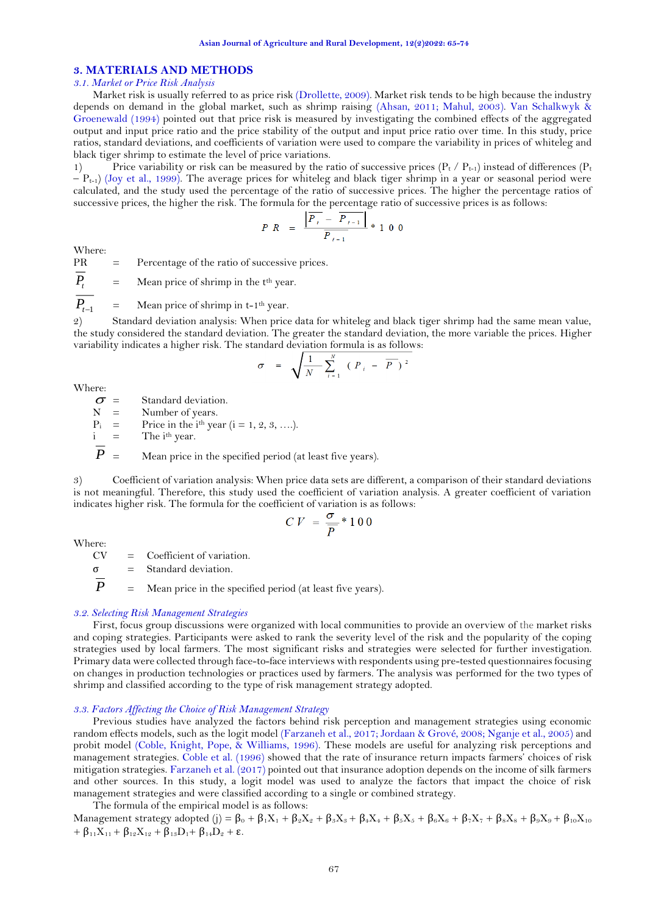# **3. MATERIALS AND METHODS**

## *3.1. Market or Price Risk Analysis*

Market risk is usually referred to as price risk [\(Drollette, 2009\)](#page-8-7). Market risk tends to be high because the industry depends on demand in the global market, such as shrimp raising [\(Ahsan, 2011;](#page-8-9) [Mahul, 2003\)](#page-9-8). [Van Schalkwyk &](#page-9-9) [Groenewald \(1994\)](#page-9-9) pointed out that price risk is measured by investigating the combined effects of the aggregated output and input price ratio and the price stability of the output and input price ratio over time. In this study, price ratios, standard deviations, and coefficients of variation were used to compare the variability in prices of whiteleg and black tiger shrimp to estimate the level of price variations.

1) Price variability or risk can be measured by the ratio of successive prices  $(P_t / P_{t-1})$  instead of differences  $(P_t$  $-P_{t-1}$  [\(Joy et al., 1999\)](#page-8-2). The average prices for whiteleg and black tiger shrimp in a year or seasonal period were calculated, and the study used the percentage of the ratio of successive prices. The higher the percentage ratios of successive prices, the higher the risk. The formula for the percentage ratio of successive prices is as follows:

$$
P \ R \ = \ \frac{\left| \overline{P}_t - \overline{P}_{t-1} \right|}{\overline{P}_{t-1}} \ * \ 1 \ 0 \ 0
$$

Where:

 $PR =$  Percentage of the ratio of successive prices.

 $\overline{P}_{t}$  = Mean price of shrimp in the t<sup>th</sup> year.

*P*<sub>*t*−1</sub> = Mean price of shrimp in t-1<sup>th</sup> year.

2) Standard deviation analysis: When price data for whiteleg and black tiger shrimp had the same mean value, the study considered the standard deviation. The greater the standard deviation, the more variable the prices. Higher variability indicates a higher risk. The standard deviation formula is as follows:

$$
\sigma = \sqrt{\frac{1}{N} \sum_{i=1}^{N} (P_i - \overline{P})^2}
$$

Where:

- $\sigma$  = Standard deviation.<br>N = Number of vears.
- $N =$  Number of years.<br>  $P_i =$  Price in the i<sup>th</sup> year
- $P_i$  = Price in the i<sup>th</sup> year (i = 1, 2, 3, ….).<br>
i = The i<sup>th</sup> year.

 $i =$  The  $i<sup>th</sup>$  year.

 $\overline{P}$  = Mean price in the specified period (at least five years).

3) Coefficient of variation analysis: When price data sets are different, a comparison of their standard deviations is not meaningful. Therefore, this study used the coefficient of variation analysis. A greater coefficient of variation indicates higher risk. The formula for the coefficient of variation is as follows:

$$
CV = \frac{\sigma}{\overline{p}} * 100
$$

Where:<br>CV

 $=$  Coefficient of variation.

 $\sigma$  = Standard deviation.

 $P =$  Mean price in the specified period (at least five years).

#### *3.2. Selecting Risk Management Strategies*

First, focus group discussions were organized with local communities to provide an overview of the market risks and coping strategies. Participants were asked to rank the severity level of the risk and the popularity of the coping strategies used by local farmers. The most significant risks and strategies were selected for further investigation. Primary data were collected through face-to-face interviews with respondents using pre-tested questionnaires focusing on changes in production technologies or practices used by farmers. The analysis was performed for the two types of shrimp and classified according to the type of risk management strategy adopted.

## *3.3. Factors Affecting the Choice of Risk Management Strategy*

Previous studies have analyzed the factors behind risk perception and management strategies using economic random effects models, such as the logit model [\(Farzaneh et al., 2017;](#page-8-10) [Jordaan & Grové, 2008;](#page-8-26) [Nganje et al., 2005\)](#page-9-7) and probit model (Coble, [Knight, Pope, & Williams, 1996\)](#page-8-27). These models are useful for analyzing risk perceptions and management strategies. [Coble et al. \(1996\)](#page-8-27) showed that the rate of insurance return impacts farmers' choices of risk mitigation strategies. [Farzaneh et al. \(2017\)](#page-8-10) pointed out that insurance adoption depends on the income of silk farmers and other sources. In this study, a logit model was used to analyze the factors that impact the choice of risk management strategies and were classified according to a single or combined strategy.

The formula of the empirical model is as follows: Management strategy adopted (j) =  $\beta_0 + \beta_1 X_1 + \beta_2 X_2 + \beta_3 X_3 + \beta_4 X_4 + \beta_5 X_5 + \beta_6 X_6 + \beta_7 X_7 + \beta_8 X_8 + \beta_9 X_9 + \beta_{10} X_{10}$  $+ \beta_{11}X_{11} + \beta_{12}X_{12} + \beta_{13}D_1 + \beta_{14}D_2 + \epsilon.$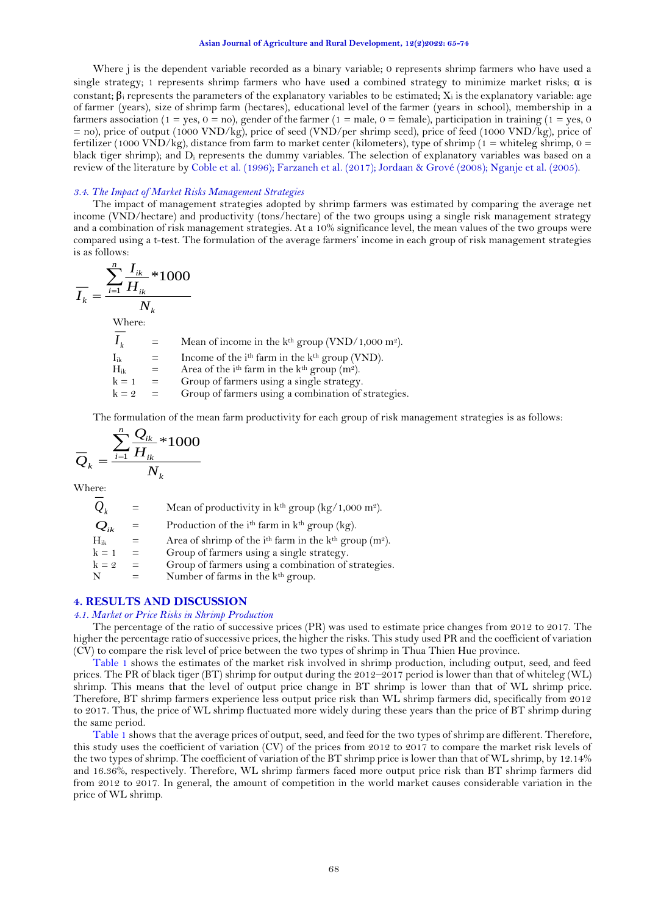#### **Asian Journal of Agriculture and Rural Development, 12(2)2022: 65-74**

Where *j* is the dependent variable recorded as a binary variable; 0 represents shrimp farmers who have used a single strategy; 1 represents shrimp farmers who have used a combined strategy to minimize market risks;  $\alpha$  is constant;  $\beta_i$  represents the parameters of the explanatory variables to be estimated;  $X_i$  is the explanatory variable: age of farmer (years), size of shrimp farm (hectares), educational level of the farmer (years in school), membership in a farmers association (1 = yes, 0 = no), gender of the farmer (1 = male, 0 = female), participation in training (1 = yes, 0 = no), price of output (1000 VND/kg), price of seed (VND/per shrimp seed), price of feed (1000 VND/kg), price of fertilizer (1000 VND/kg), distance from farm to market center (kilometers), type of shrimp (1 = whiteleg shrimp,  $0 =$ black tiger shrimp); and D<sup>i</sup> represents the dummy variables. The selection of explanatory variables was based on a review of the literature by [Coble et al. \(1996\)](#page-8-27); [Farzaneh et al. \(2017\)](#page-8-10)[; Jordaan & Grové \(2008\)](#page-8-26)[; Nganje et al. \(2005\)](#page-9-7).

## *3.4. The Impact of Market Risks Management Strategies*

The impact of management strategies adopted by shrimp farmers was estimated by comparing the average net income (VND/hectare) and productivity (tons/hectare) of the two groups using a single risk management strategy and a combination of risk management strategies. At a 10% significance level, the mean values of the two groups were compared using a t-test. The formulation of the average farmers' income in each group of risk management strategies is as follows:

$$
\overline{I_k} = \frac{\sum_{i=1}^{n} \overline{I_{ik}} * 1000}{N_k}
$$
  
Where:  

$$
\overline{I_k} = \text{Mean of income in the kth group (VND/1,000 m2).}
$$
  

$$
I_{ik} = \text{Income of the ith farm in the kth group (VND).}
$$
  

$$
H_{ik} = \text{Area of the ith farm in the kth group (m2).}
$$
  

$$
k = 1 = \text{Group of farmers using a single strategy.}
$$
  

$$
k = 2 = \text{Group of farmers using a combination of strategies.}
$$

The formulation of the mean farm productivity for each group of risk management strategies is as follows:

$$
\overline{Q}_k = \frac{\sum_{i=1}^n \frac{Q_{ik}}{H_{ik}} * 1000}{N_k}
$$

Where:

| $Q_{k}$       | $=$ | Mean of productivity in $k^{th}$ group ( $kg/1,000$ m <sup>2</sup> ).            |
|---------------|-----|----------------------------------------------------------------------------------|
| $Q_{ik}$      | $=$ | Production of the $ith$ farm in $kth$ group (kg).                                |
| $\rm{H_{ik}}$ | =   | Area of shrimp of the i <sup>th</sup> farm in the $kth$ group (m <sup>2</sup> ). |
| $k = 1$       | $=$ | Group of farmers using a single strategy.                                        |
| $k = 2$       | $=$ | Group of farmers using a combination of strategies.                              |
| N             |     | Number of farms in the k <sup>th</sup> group.                                    |

# **4. RESULTS AND DISCUSSION**

#### *4.1. Market or Price Risks in Shrimp Production*

The percentage of the ratio of successive prices (PR) was used to estimate price changes from 2012 to 2017. The higher the percentage ratio of successive prices, the higher the risks. This study used PR and the coefficient of variation (CV) to compare the risk level of price between the two types of shrimp in Thua Thien Hue province.

[Table 1](#page-3-0) shows the estimates of the market risk involved in shrimp production, including output, seed, and feed prices. The PR of black tiger (BT) shrimp for output during the 2012–2017 period is lower than that of whiteleg (WL) shrimp. This means that the level of output price change in BT shrimp is lower than that of WL shrimp price. Therefore, BT shrimp farmers experience less output price risk than WL shrimp farmers did, specifically from 2012 to 2017. Thus, the price of WL shrimp fluctuated more widely during these years than the price of BT shrimp during the same period.

<span id="page-3-0"></span>[Table 1](#page-3-0) shows that the average prices of output, seed, and feed for the two types of shrimp are different. Therefore, this study uses the coefficient of variation (CV) of the prices from 2012 to 2017 to compare the market risk levels of the two types of shrimp. The coefficient of variation of the BT shrimp price is lower than that of WL shrimp, by 12.14% and 16.36%, respectively. Therefore, WL shrimp farmers faced more output price risk than BT shrimp farmers did from 2012 to 2017. In general, the amount of competition in the world market causes considerable variation in the price of WL shrimp.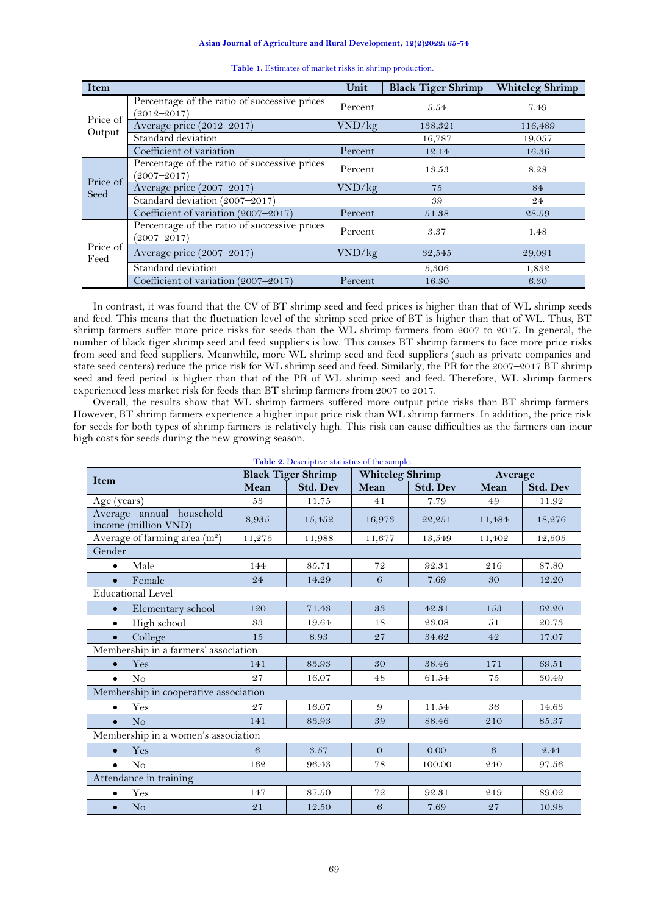**Asian Journal of Agriculture and Rural Development, 12(2)2022: 65-74**

| <b>Item</b>        |                                                                 | Unit    | <b>Black Tiger Shrimp</b> | <b>Whiteleg Shrimp</b> |
|--------------------|-----------------------------------------------------------------|---------|---------------------------|------------------------|
|                    | Percentage of the ratio of successive prices<br>$(2012 - 2017)$ | Percent | 5.54                      | 7.49                   |
| Price of<br>Output | Average price (2012-2017)                                       | VND/kg  | 138,321                   | 116,489                |
|                    | Standard deviation                                              |         | 16,787                    | 19,057                 |
|                    | Coefficient of variation                                        | Percent | 12.14                     | 16.36                  |
| Price of<br>Seed   | Percentage of the ratio of successive prices<br>$(2007 - 2017)$ | Percent | 13.53                     | 8.28                   |
|                    | Average price (2007-2017)                                       | VND/kg  | 75                        | 84                     |
|                    | Standard deviation (2007-2017)                                  |         | 39                        | 24                     |
|                    | Coefficient of variation (2007-2017)                            | Percent | 51.38                     | 28.59                  |
| Price of<br>Feed   | Percentage of the ratio of successive prices<br>$(2007 - 2017)$ | Percent | 3.37                      | 1.48                   |
|                    | Average price (2007-2017)                                       | VND/kg  | 32,545                    | 29,091                 |
|                    | Standard deviation                                              |         | 5,306                     | 1,832                  |
|                    | Coefficient of variation (2007-2017)                            | Percent | 16.30                     | 6.30                   |

**Table 1.** Estimates of market risks in shrimp production.

In contrast, it was found that the CV of BT shrimp seed and feed prices is higher than that of WL shrimp seeds and feed. This means that the fluctuation level of the shrimp seed price of BT is higher than that of WL. Thus, BT shrimp farmers suffer more price risks for seeds than the WL shrimp farmers from 2007 to 2017. In general, the number of black tiger shrimp seed and feed suppliers is low. This causes BT shrimp farmers to face more price risks from seed and feed suppliers. Meanwhile, more WL shrimp seed and feed suppliers (such as private companies and state seed centers) reduce the price risk for WL shrimp seed and feed. Similarly, the PR for the 2007–2017 BT shrimp seed and feed period is higher than that of the PR of WL shrimp seed and feed. Therefore, WL shrimp farmers experienced less market risk for feeds than BT shrimp farmers from 2007 to 2017.

Overall, the results show that WL shrimp farmers suffered more output price risks than BT shrimp farmers. However, BT shrimp farmers experience a higher input price risk than WL shrimp farmers. In addition, the price risk for seeds for both types of shrimp farmers is relatively high. This risk can cause difficulties as the farmers can incur high costs for seeds during the new growing season.

<span id="page-4-0"></span>

| Table 2. Descriptive statistics of the sample.   |                           |                 |                        |                 |         |                 |  |
|--------------------------------------------------|---------------------------|-----------------|------------------------|-----------------|---------|-----------------|--|
| <b>Item</b>                                      | <b>Black Tiger Shrimp</b> |                 | <b>Whiteleg Shrimp</b> |                 | Average |                 |  |
|                                                  | Mean                      | <b>Std. Dev</b> | Mean                   | <b>Std. Dev</b> | Mean    | <b>Std. Dev</b> |  |
| Age (years)                                      | 53                        | 11.75           | 41                     | 7.79            | 49      | 11.92           |  |
| Average annual household<br>income (million VND) | 8,935                     | 15,452          | 16,973                 | 22,251          | 11,484  | 18,276          |  |
| Average of farming area (m <sup>2</sup> )        | 11,275                    | 11,988          | 11,677                 | 13,549          | 11,402  | 12,505          |  |
| Gender                                           |                           |                 |                        |                 |         |                 |  |
| Male<br>$\bullet$                                | 144                       | 85.71           | 72                     | 92.31           | 216     | 87.80           |  |
| Female<br>$\bullet$                              | 24                        | 14.29           | 6                      | 7.69            | 30      | 12.20           |  |
| <b>Educational Level</b>                         |                           |                 |                        |                 |         |                 |  |
| Elementary school<br>$\bullet$                   | 120                       | 71.43           | 33                     | 42.31           | 153     | 62.20           |  |
| High school<br>$\bullet$                         | 33                        | 19.64           | 18                     | 23.08           | 51      | 20.73           |  |
| College<br>$\bullet$                             | 15                        | 8.93            | 27                     | 34.62           | 42      | 17.07           |  |
| Membership in a farmers' association             |                           |                 |                        |                 |         |                 |  |
| Yes<br>$\bullet$                                 | 141                       | 83.93           | 30                     | 38.46           | 171     | 69.51           |  |
| No<br>$\bullet$                                  | 27                        | 16.07           | 48                     | 61.54           | 75      | 30.49           |  |
| Membership in cooperative association            |                           |                 |                        |                 |         |                 |  |
| Yes<br>$\bullet$                                 | 27                        | 16.07           | 9                      | 11.54           | 36      | 14.63           |  |
| No<br>$\bullet$                                  | 141                       | 83.93           | 39                     | 88.46           | 210     | 85.37           |  |
| Membership in a women's association              |                           |                 |                        |                 |         |                 |  |
| Yes<br>$\bullet$                                 | 6                         | 3.57            | $\Omega$               | 0.00            | 6       | 2.44            |  |
| N <sub>o</sub><br>$\bullet$                      | 162                       | 96.43           | 78                     | 100.00          | 240     | 97.56           |  |
| Attendance in training                           |                           |                 |                        |                 |         |                 |  |
| Yes<br>٠                                         | 147                       | 87.50           | 72                     | 92.31           | 219     | 89.02           |  |
| N <sub>o</sub><br>$\bullet$                      | 21                        | 12.50           | 6                      | 7.69            | 27      | 10.98           |  |

69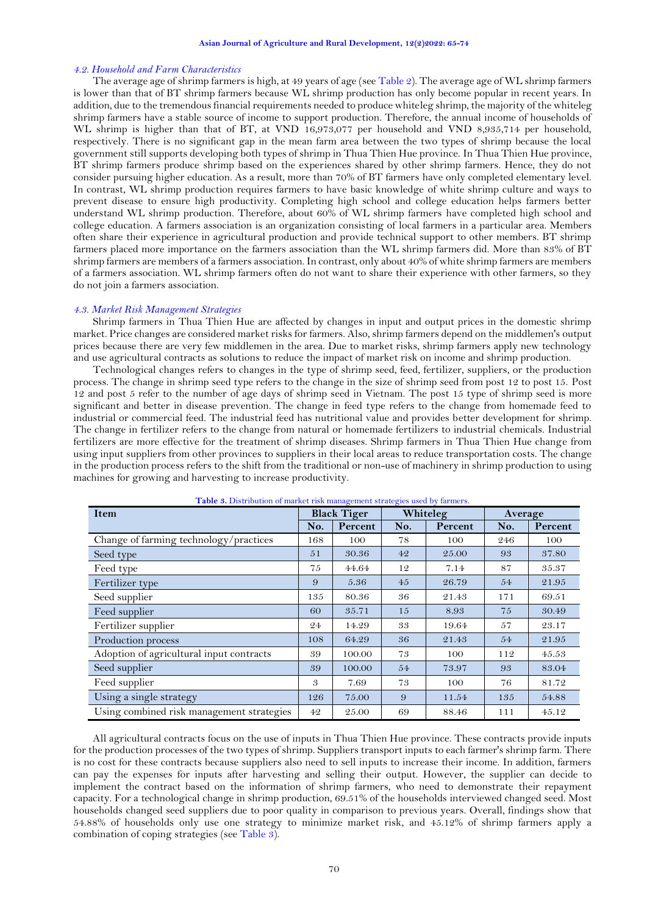#### *4.2. Household and Farm Characteristics*

The average age of shrimp farmers is high, at 49 years of age (se[e Table 2\)](#page-4-0). The average age of WL shrimp farmers is lower than that of BT shrimp farmers because WL shrimp production has only become popular in recent years. In addition, due to the tremendous financial requirements needed to produce whiteleg shrimp, the majority of the whiteleg shrimp farmers have a stable source of income to support production. Therefore, the annual income of households of WL shrimp is higher than that of BT, at VND 16,973,077 per household and VND 8,935,714 per household, respectively. There is no significant gap in the mean farm area between the two types of shrimp because the local government still supports developing both types of shrimp in Thua Thien Hue province. In Thua Thien Hue province, BT shrimp farmers produce shrimp based on the experiences shared by other shrimp farmers. Hence, they do not consider pursuing higher education. As a result, more than 70% of BT farmers have only completed elementary level. In contrast, WL shrimp production requires farmers to have basic knowledge of white shrimp culture and ways to prevent disease to ensure high productivity. Completing high school and college education helps farmers better understand WL shrimp production. Therefore, about 60% of WL shrimp farmers have completed high school and college education. A farmers association is an organization consisting of local farmers in a particular area. Members often share their experience in agricultural production and provide technical support to other members. BT shrimp farmers placed more importance on the farmers association than the WL shrimp farmers did. More than 83% of BT shrimp farmers are members of a farmers association. In contrast, only about 40% of white shrimp farmers are members of a farmers association. WL shrimp farmers often do not want to share their experience with other farmers, so they do not join a farmers association.

#### *4.3. Market Risk Management Strategies*

Shrimp farmers in Thua Thien Hue are affected by changes in input and output prices in the domestic shrimp market. Price changes are considered market risks for farmers. Also, shrimp farmers depend on the middlemen's output prices because there are very few middlemen in the area. Due to market risks, shrimp farmers apply new technology and use agricultural contracts as solutions to reduce the impact of market risk on income and shrimp production.

Technological changes refers to changes in the type of shrimp seed, feed, fertilizer, suppliers, or the production process. The change in shrimp seed type refers to the change in the size of shrimp seed from post 12 to post 15. Post 12 and post 5 refer to the number of age days of shrimp seed in Vietnam. The post 15 type of shrimp seed is more significant and better in disease prevention. The change in feed type refers to the change from homemade feed to industrial or commercial feed. The industrial feed has nutritional value and provides better development for shrimp. The change in fertilizer refers to the change from natural or homemade fertilizers to industrial chemicals. Industrial fertilizers are more effective for the treatment of shrimp diseases. Shrimp farmers in Thua Thien Hue change from using input suppliers from other provinces to suppliers in their local areas to reduce transportation costs. The change in the production process refers to the shift from the traditional or non-use of machinery in shrimp production to using machines for growing and harvesting to increase productivity.

<span id="page-5-0"></span>

| <b>Item</b>                               |     | <b>Black Tiger</b> |     | Whiteleg |     | Average |  |
|-------------------------------------------|-----|--------------------|-----|----------|-----|---------|--|
|                                           |     | Percent            | No. | Percent  | No. | Percent |  |
| Change of farming technology/practices    | 168 | 100                | 78  | 100      | 246 | 100     |  |
| Seed type                                 | 51  | 30.36              | 42  | 25.00    | 93  | 37.80   |  |
| Feed type                                 | 75  | 44.64              | 12  | 7.14     | 87  | 35.37   |  |
| Fertilizer type                           | 9   | 5.36               | 45  | 26.79    | 54  | 21.95   |  |
| Seed supplier                             | 135 | 80.36              | 36  | 21.43    | 171 | 69.51   |  |
| Feed supplier                             | 60  | 35.71              | 15  | 8.93     | 75  | 30.49   |  |
| Fertilizer supplier                       | 24  | 14.29              | 33  | 19.64    | 57  | 23.17   |  |
| Production process                        | 108 | 64.29              | 36  | 21.43    | 54  | 21.95   |  |
| Adoption of agricultural input contracts  | 39  | 100.00             | 73  | 100      | 112 | 45.53   |  |
| Seed supplier                             | 39  | 100.00             | 54  | 73.97    | 93  | 83.04   |  |
| Feed supplier                             | 3   | 7.69               | 73  | 100      | 76  | 81.72   |  |
| Using a single strategy                   | 126 | 75.00              | 9   | 11.54    | 135 | 54.88   |  |
| Using combined risk management strategies |     | 25.00              | 69  | 88.46    | 111 | 45.12   |  |

**Table 3.** Distribution of market risk management strategies used by farmers.

All agricultural contracts focus on the use of inputs in Thua Thien Hue province. These contracts provide inputs for the production processes of the two types of shrimp. Suppliers transport inputs to each farmer's shrimp farm. There is no cost for these contracts because suppliers also need to sell inputs to increase their income. In addition, farmers can pay the expenses for inputs after harvesting and selling their output. However, the supplier can decide to implement the contract based on the information of shrimp farmers, who need to demonstrate their repayment capacity. For a technological change in shrimp production, 69.51% of the households interviewed changed seed. Most households changed seed suppliers due to poor quality in comparison to previous years. Overall, findings show that 54.88% of households only use one strategy to minimize market risk, and 45.12% of shrimp farmers apply a combination of coping strategies (se[e Table 3\)](#page-5-0).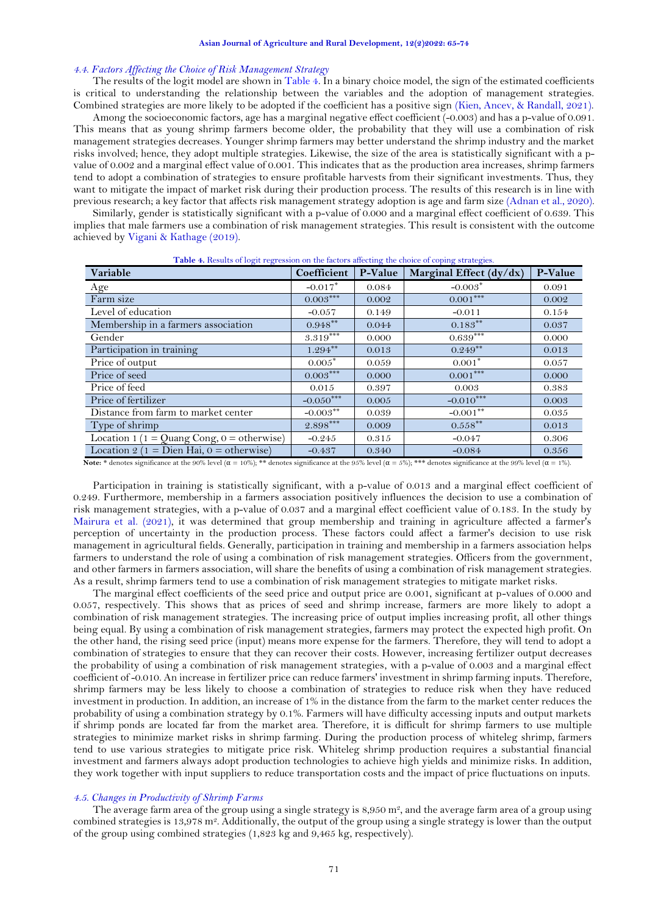## *4.4. Factors Affecting the Choice of Risk Management Strategy*

The results of the logit model are shown i[n Table 4.](#page-6-0) In a binary choice model, the sign of the estimated coefficients is critical to understanding the relationship between the variables and the adoption of management strategies. Combined strategies are more likely to be adopted if the coefficient has a positive sign [\(Kien, Ancev, & Randall, 2021\)](#page-8-28).

Among the socioeconomic factors, age has a marginal negative effect coefficient (-0.003) and has a p-value of 0.091. This means that as young shrimp farmers become older, the probability that they will use a combination of risk management strategies decreases. Younger shrimp farmers may better understand the shrimp industry and the market risks involved; hence, they adopt multiple strategies. Likewise, the size of the area is statistically significant with a pvalue of 0.002 and a marginal effect value of 0.001. This indicates that as the production area increases, shrimp farmers tend to adopt a combination of strategies to ensure profitable harvests from their significant investments. Thus, they want to mitigate the impact of market risk during their production process. The results of this research is in line with previous research; a key factor that affects risk management strategy adoption is age and farm size [\(Adnan et al., 2020\)](#page-8-29).

Similarly, gender is statistically significant with a p-value of 0.000 and a marginal effect coefficient of 0.639. This implies that male farmers use a combination of risk management strategies. This result is consistent with the outcome achieved by Vigani & [Kathage \(2019\)](#page-9-10).

<span id="page-6-0"></span>

| Variable                                        | Coefficient | P-Value | Marginal Effect $(dy/dx)$ | P-Value |
|-------------------------------------------------|-------------|---------|---------------------------|---------|
| Age                                             | $-0.017*$   | 0.084   | $-0.003*$                 | 0.091   |
| Farm size                                       | $0.003***$  | 0.002   | $0.001***$                | 0.002   |
| Level of education                              | $-0.057$    | 0.149   | $-0.011$                  | 0.154   |
| Membership in a farmers association             | $0.948***$  | 0.044   | $0.183***$                | 0.037   |
| Gender                                          | $3.319***$  | 0.000   | $0.639***$                | 0.000   |
| Participation in training                       | $1.294***$  | 0.013   | $0.249**$                 | 0.013   |
| Price of output                                 | $0.005*$    | 0.059   | $0.001*$                  | 0.057   |
| Price of seed                                   | $0.003***$  | 0.000   | $0.001***$                | 0.000   |
| Price of feed                                   | 0.015       | 0.397   | 0.003                     | 0.383   |
| Price of fertilizer                             | $-0.050***$ | 0.005   | $-0.010***$               | 0.003   |
| Distance from farm to market center             | $-0.003***$ | 0.039   | $-0.001**$                | 0.035   |
| Type of shrimp                                  | $2.898***$  | 0.009   | $0.558***$                | 0.013   |
| Location 1 ( $1 =$ Quang Cong, $0 =$ otherwise) | $-0.245$    | 0.315   | $-0.047$                  | 0.306   |
| Location 2 (1 = Dien Hai, 0 = otherwise)        | $-0.437$    | 0.340   | $-0.084$                  | 0.356   |

**Table 4.** Results of logit regression on the factors affecting the choice of coping strategies.

**Note:** \* denotes significance at the 90% level (α = 10%); \*\* denotes significance at the 95% level (α = 5%); \*\*\* denotes significance at the 99% level (α = 1%).

Participation in training is statistically significant, with a p-value of 0.013 and a marginal effect coefficient of 0.249. Furthermore, membership in a farmers association positively influences the decision to use a combination of risk management strategies, with a p-value of 0.037 and a marginal effect coefficient value of 0.183. In the study by [Mairura et al. \(2021\)](#page-9-11), it was determined that group membership and training in agriculture affected a farmer's perception of uncertainty in the production process. These factors could affect a farmer's decision to use risk management in agricultural fields. Generally, participation in training and membership in a farmers association helps farmers to understand the role of using a combination of risk management strategies. Officers from the government, and other farmers in farmers association, will share the benefits of using a combination of risk management strategies. As a result, shrimp farmers tend to use a combination of risk management strategies to mitigate market risks.

The marginal effect coefficients of the seed price and output price are 0.001, significant at p-values of 0.000 and 0.057, respectively. This shows that as prices of seed and shrimp increase, farmers are more likely to adopt a combination of risk management strategies. The increasing price of output implies increasing profit, all other things being equal. By using a combination of risk management strategies, farmers may protect the expected high profit. On the other hand, the rising seed price (input) means more expense for the farmers. Therefore, they will tend to adopt a combination of strategies to ensure that they can recover their costs. However, increasing fertilizer output decreases the probability of using a combination of risk management strategies, with a p-value of 0.003 and a marginal effect coefficient of -0.010. An increase in fertilizer price can reduce farmers' investment in shrimp farming inputs. Therefore, shrimp farmers may be less likely to choose a combination of strategies to reduce risk when they have reduced investment in production. In addition, an increase of 1% in the distance from the farm to the market center reduces the probability of using a combination strategy by 0.1%. Farmers will have difficulty accessing inputs and output markets if shrimp ponds are located far from the market area. Therefore, it is difficult for shrimp farmers to use multiple strategies to minimize market risks in shrimp farming. During the production process of whiteleg shrimp, farmers tend to use various strategies to mitigate price risk. Whiteleg shrimp production requires a substantial financial investment and farmers always adopt production technologies to achieve high yields and minimize risks. In addition, they work together with input suppliers to reduce transportation costs and the impact of price fluctuations on inputs.

## *4.5. Changes in Productivity of Shrimp Farms*

The average farm area of the group using a single strategy is  $8,950$  m<sup>2</sup>, and the average farm area of a group using combined strategies is 13,978 m<sup>2</sup>. Additionally, the output of the group using a single strategy is lower than the output of the group using combined strategies (1,823 kg and 9,465 kg, respectively).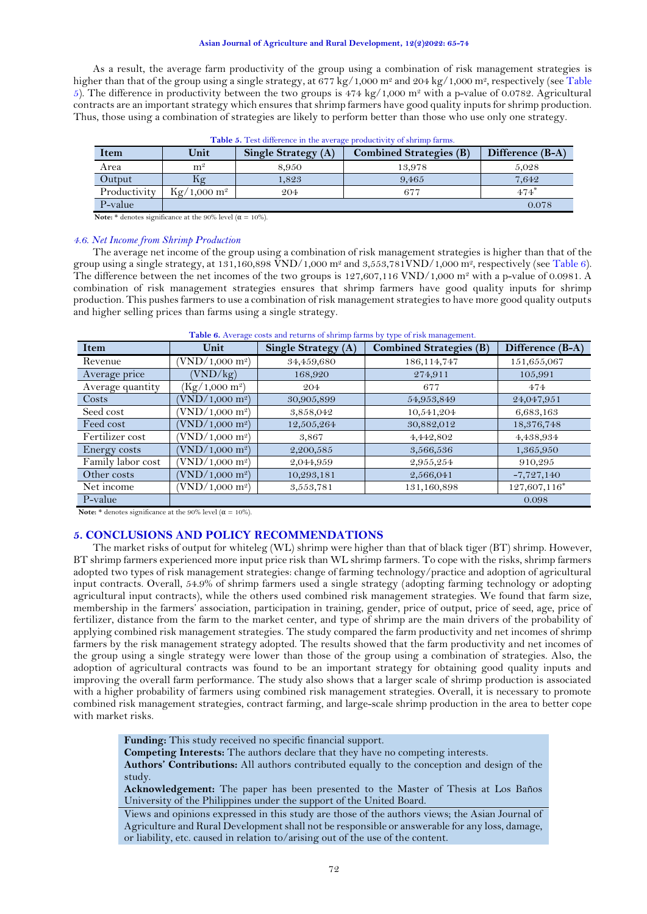As a result, the average farm productivity of the group using a combination of risk management strategies is higher than that of the group using a single strategy, at 677 kg/1,000  $\mathrm{m}^2$  and 204 kg/1,000  $\mathrm{m}^2$ , respectively (see Table [5\)](#page-7-0). The difference in productivity between the two groups is  $474 \text{ kg}/1,000 \text{ m}^2$  with a p-value of 0.0782. Agricultural contracts are an important strategy which ensures that shrimp farmers have good quality inputs for shrimp production. Thus, those using a combination of strategies are likely to perform better than those who use only one strategy.

<span id="page-7-0"></span>

| <b>Item</b>  | Unit                       | <b>Single Strategy (A)</b> | <b>Combined Strategies (B)</b> | Difference (B-A) |
|--------------|----------------------------|----------------------------|--------------------------------|------------------|
| Area         | m <sup>2</sup>             | 8.950                      | 13,978                         | 5.028            |
| Output       | hφ                         | 1.823                      | 9.465                          | 7.642            |
| Productivity | $Kg/1,000 \; \mathrm{m}^2$ | 204                        | 677                            | $474*$           |
| P-value      |                            |                            |                                | 0.078            |

**Table 5.** Test difference in the average productivity of shrimp farms.

**Note:** \* denotes significance at the 90% level ( $\alpha = 10\%$ ).

#### *4.6. Net Income from Shrimp Production*

The average net income of the group using a combination of risk management strategies is higher than that of the group using a single strategy, at 131,160,898 VND/1,000 m<sup>2</sup> and  $3,553,781$ VND/1,000 m<sup>2</sup>, respectively (se[e Table 6\)](#page-7-1). The difference between the net incomes of the two groups is 127,607,116 VND/1,000 m<sup>2</sup> with a p-value of 0.0981. A combination of risk management strategies ensures that shrimp farmers have good quality inputs for shrimp production. This pushes farmers to use a combination of risk management strategies to have more good quality outputs and higher selling prices than farms using a single strategy.

<span id="page-7-1"></span>

| Item              | Unit                     | Single Strategy (A) | <b>Tuble of</b> Hyerage costs and retains of sin mip farms by type of risk management.<br><b>Combined Strategies (B)</b> | Difference (B-A) |
|-------------------|--------------------------|---------------------|--------------------------------------------------------------------------------------------------------------------------|------------------|
| Revenue           | $\rm VND/1,000~m^{2}$    | 34,459,680          | 186, 114, 747                                                                                                            | 151,655,067      |
| Average price     | (VND/kg)                 | 168,920             | 274,911                                                                                                                  | 105,991          |
| Average quantity  | $(Kg/1,000 \text{ m}^2)$ | 204                 | 677                                                                                                                      | 474              |
| Costs             | $\rm (VND/1,000~m^2)$    | 30,905,899          | 54,953,849                                                                                                               | 24,047,951       |
| Seed cost         | $\rm (VND/1,000~m^2)$    | 3,858,042           | 10,541,204                                                                                                               | 6,683,163        |
| Feed cost         | $\rm VND/1,000~m^{2}$    | 12,505,264          | 30,882,012                                                                                                               | 18,376,748       |
| Fertilizer cost   | $\rm (VND/1,000~m^2)$    | 3,867               | 4,442,802                                                                                                                | 4,438,934        |
| Energy costs      | $\rm (VND/1,000~m^2)$    | 2,200,585           | 3,566,536                                                                                                                | 1,365,950        |
| Family labor cost | $\rm (VND/1,000~m^2)$    | 2,044,959           | 2,955,254                                                                                                                | 910,295          |
| Other costs       | $\rm (VND/1,000~m^2)$    | 10,293,181          | 2,566,041                                                                                                                | $-7,727,140$     |
| Net income        | $\rm (VND/1,000~m^2)$    | 3,553,781           | 131,160,898                                                                                                              | 127,607,116*     |
| P-value           |                          |                     |                                                                                                                          | 0.098            |

**Table 6.** Average costs and returns of shrimp farms by type of risk management.

**Note:**  $*$  denotes significance at the 90% level ( $\alpha = 10\%$ ).

## **5. CONCLUSIONS AND POLICY RECOMMENDATIONS**

The market risks of output for whiteleg (WL) shrimp were higher than that of black tiger (BT) shrimp. However, BT shrimp farmers experienced more input price risk than WL shrimp farmers. To cope with the risks, shrimp farmers adopted two types of risk management strategies: change of farming technology/practice and adoption of agricultural input contracts. Overall, 54.9% of shrimp farmers used a single strategy (adopting farming technology or adopting agricultural input contracts), while the others used combined risk management strategies. We found that farm size, membership in the farmers' association, participation in training, gender, price of output, price of seed, age, price of fertilizer, distance from the farm to the market center, and type of shrimp are the main drivers of the probability of applying combined risk management strategies. The study compared the farm productivity and net incomes of shrimp farmers by the risk management strategy adopted. The results showed that the farm productivity and net incomes of the group using a single strategy were lower than those of the group using a combination of strategies. Also, the adoption of agricultural contracts was found to be an important strategy for obtaining good quality inputs and improving the overall farm performance. The study also shows that a larger scale of shrimp production is associated with a higher probability of farmers using combined risk management strategies. Overall, it is necessary to promote combined risk management strategies, contract farming, and large-scale shrimp production in the area to better cope with market risks.

**Funding:** This study received no specific financial support.

**Competing Interests:** The authors declare that they have no competing interests.

**Authors' Contributions:** All authors contributed equally to the conception and design of the study.

**Acknowledgement:** The paper has been presented to the Master of Thesis at Los Baños University of the Philippines under the support of the United Board.

Views and opinions expressed in this study are those of the authors views; the Asian Journal of Agriculture and Rural Development shall not be responsible or answerable for any loss, damage, or liability, etc. caused in relation to/arising out of the use of the content.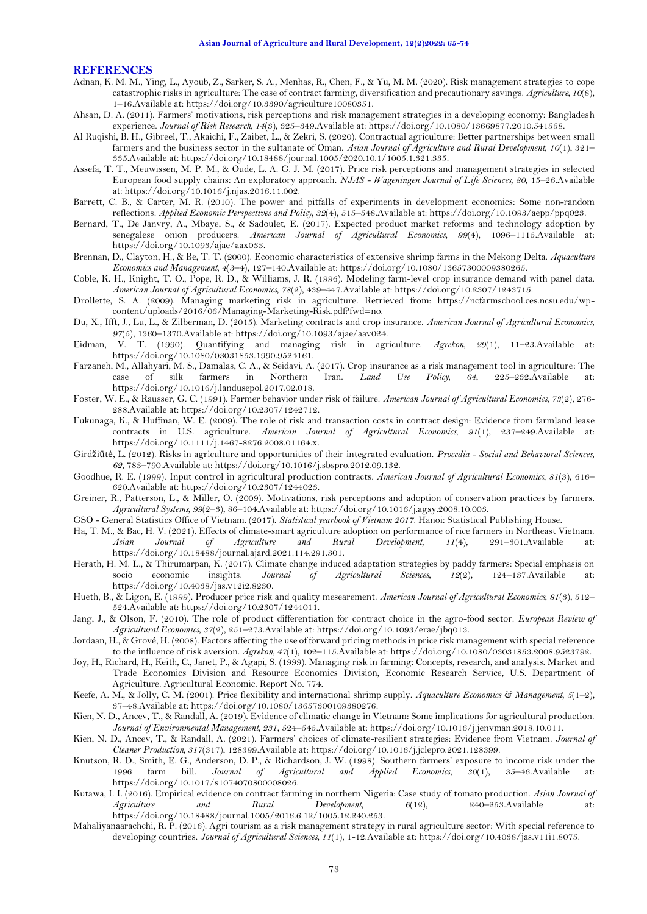## **REFERENCES**

- <span id="page-8-29"></span>Adnan, K. M. M., Ying, L., Ayoub, Z., Sarker, S. A., Menhas, R., Chen, F., & Yu, M. M. (2020). Risk management strategies to cope catastrophic risks in agriculture: The case of contract farming, diversification and precautionary savings. *Agriculture, 10*(8), 1–16.Available at: https://doi.org/10.3390/agriculture10080351.
- <span id="page-8-9"></span>Ahsan, D. A. (2011). Farmers' motivations, risk perceptions and risk management strategies in a developing economy: Bangladesh experience. *Journal of Risk Research, 14*(3), 325–349.Available at: https://doi.org/10.1080/13669877.2010.541558.
- <span id="page-8-24"></span>Al Ruqishi, B. H., Gibreel, T., Akaichi, F., Zaibet, L., & Zekri, S. (2020). Contractual agriculture: Better partnerships between small farmers and the business sector in the sultanate of Oman. *Asian Journal of Agriculture and Rural Development, 10*(1), 321– 335.Available at: https://doi.org/10.18488/journal.1005/2020.10.1/1005.1.321.335.
- <span id="page-8-18"></span>Assefa, T. T., Meuwissen, M. P. M., & Oude, L. A. G. J. M. (2017). Price risk perceptions and management strategies in selected European food supply chains: An exploratory approach. *NJAS - Wageningen Journal of Life Sciences, 80*, 15–26.Available at: https://doi.org/10.1016/j.njas.2016.11.002.
- <span id="page-8-16"></span>Barrett, C. B., & Carter, M. R. (2010). The power and pitfalls of experiments in development economics: Some non-random reflections. *Applied Economic Perspectives and Policy, 32*(4), 515–548.Available at: https://doi.org/10.1093/aepp/ppq023.
- <span id="page-8-5"></span>Bernard, T., De Janvry, A., Mbaye, S., & Sadoulet, E. (2017). Expected product market reforms and technology adoption by senegalese onion producers. *American Journal of Agricultural Economics, 99*(4), 1096–1115.Available at: https://doi.org/10.1093/ajae/aax033.
- <span id="page-8-14"></span>Brennan, D., Clayton, H., & Be, T. T. (2000). Economic characteristics of extensive shrimp farms in the Mekong Delta. *Aquaculture Economics and Management, 4*(3–4), 127–140.Available at: https://doi.org/10.1080/13657300009380265.
- <span id="page-8-27"></span>Coble, K. H., Knight, T. O., Pope, R. D., & Williams, J. R. (1996). Modeling farm-level crop insurance demand with panel data. *American Journal of Agricultural Economics, 78*(2), 439–447.Available at: https://doi.org/10.2307/1243715.
- <span id="page-8-7"></span>Drollette, S. A. (2009). Managing marketing risk in agriculture. Retrieved from: https://ncfarmschool.ces.ncsu.edu/wpcontent/uploads/2016/06/Managing-Marketing-Risk.pdf?fwd=no.
- <span id="page-8-17"></span>Du, X., Ifft, J., Lu, L., & Zilberman, D. (2015). Marketing contracts and crop insurance. *American Journal of Agricultural Economics, 97*(5), 1360–1370.Available at: https://doi.org/10.1093/ajae/aav024.
- <span id="page-8-19"></span>Eidman, V. T. (1990). Quantifying and managing risk in agriculture. *Agrekon, 29*(1), 11–23.Available at: https://doi.org/10.1080/03031853.1990.9524161.
- <span id="page-8-10"></span>Farzaneh, M., Allahyari, M. S., Damalas, C. A., & Seidavi, A. (2017). Crop insurance as a risk management tool in agriculture: The case of silk farmers in Northern Iran. *Land Use Policy*, 64, 225–232. Available at: case of silk farmers in Northern Iran. *Land Use Policy*, 64, 225-232.Available https://doi.org/10.1016/j.landusepol.2017.02.018.
- <span id="page-8-6"></span>Foster, W. E., & Rausser, G. C. (1991). Farmer behavior under risk of failure. *American Journal of Agricultural Economics, 73*(2), 276- 288.Available at: https://doi.org/10.2307/1242712.
- <span id="page-8-25"></span>Fukunaga, K., & Huffman, W. E. (2009). The role of risk and transaction costs in contract design: Evidence from farmland lease contracts in U.S. agriculture. *American Journal of Agricultural Economics, 91*(1), 237–249.Available at: https://doi.org/10.1111/j.1467-8276.2008.01164.x.
- <span id="page-8-1"></span>Girdžiūtė, L. (2012). Risks in agriculture and opportunities of their integrated evaluation. *Procedia - Social and Behavioral Sciences, 62*, 783–790.Available at: https://doi.org/10.1016/j.sbspro.2012.09.132.
- <span id="page-8-20"></span>Goodhue, R. E. (1999). Input control in agricultural production contracts. *American Journal of Agricultural Economics, 81*(3), 616– 620.Available at: https://doi.org/10.2307/1244023.
- <span id="page-8-11"></span>Greiner, R., Patterson, L., & Miller, O. (2009). Motivations, risk perceptions and adoption of conservation practices by farmers. *Agricultural Systems, 99*(2–3), 86–104.Available at: https://doi.org/10.1016/j.agsy.2008.10.003.
- <span id="page-8-0"></span>GSO - General Statistics Office of Vietnam. (2017). *Statistical yearbook of Vietnam 2017*. Hanoi: Statistical Publishing House.
- <span id="page-8-15"></span>Ha, T. M., & Bac, H. V. (2021). Effects of climate-smart agriculture adoption on performance of rice farmers in Northeast Vietnam. *Asian Journal of Agriculture and Rural Development, 11*(4), 291–301.Available at: https://doi.org/10.18488/journal.ajard.2021.114.291.301.
- <span id="page-8-4"></span>Herath, H. M. L., & Thirumarpan, K. (2017). Climate change induced adaptation strategies by paddy farmers: Special emphasis on socio economic insights. *Journal of Agricultural Sciences*, 12(2), 124–137.Available https://doi.org/10.4038/jas.v12i2.8230.
- <span id="page-8-21"></span>Hueth, B., & Ligon, E. (1999). Producer price risk and quality mesearement. *American Journal of Agricultural Economics, 81*(3), 512– 524.Available at: https://doi.org/10.2307/1244011.
- <span id="page-8-23"></span>Jang, J., & Olson, F. (2010). The role of product differentiation for contract choice in the agro-food sector. *European Review of Agricultural Economics, 37*(2), 251–273.Available at: https://doi.org/10.1093/erae/jbq013.
- <span id="page-8-26"></span>Jordaan, H., & Grové, H. (2008). Factors affecting the use of forward pricing methods in price risk management with special reference to the influence of risk aversion. *Agrekon, 47*(1), 102–115.Available at: https://doi.org/10.1080/03031853.2008.9523792.
- <span id="page-8-2"></span>Joy, H., Richard, H., Keith, C., Janet, P., & Agapi, S. (1999). Managing risk in farming: Concepts, research, and analysis. Market and Trade Economics Division and Resource Economics Division, Economic Research Service, U.S. Department of Agriculture. Agricultural Economic. Report No. 774.
- <span id="page-8-8"></span>Keefe, A. M., & Jolly, C. M. (2001). Price flexibility and international shrimp supply. *Aquaculture Economics & Management, 5*(1–2), 37–48.Available at: https://doi.org/10.1080/13657300109380276.
- <span id="page-8-3"></span>Kien, N. D., Ancev, T., & Randall, A. (2019). Evidence of climatic change in Vietnam: Some implications for agricultural production. *Journal of Environmental Management, 231*, 524–545.Available at: https://doi.org/10.1016/j.jenvman.2018.10.011.
- <span id="page-8-28"></span>Kien, N. D., Ancev, T., & Randall, A. (2021). Farmers' choices of climate-resilient strategies: Evidence from Vietnam. *Journal of Cleaner Production, 317*(317), 128399.Available at: https://doi.org/10.1016/j.jclepro.2021.128399.
- <span id="page-8-12"></span>Knutson, R. D., Smith, E. G., Anderson, D. P., & Richardson, J. W. (1998). Southern farmers' exposure to income risk under the 1996 farm bill. Journal of Agricultural and Applied Economics,  $30(1)$ ,  $35-46$ . Available at: 1996 farm bill. *Journal of Agricultural and Applied Economics, 30*(1), 35–46.Available at: https://doi.org/10.1017/s1074070800008026.
- <span id="page-8-22"></span>Kutawa, I. I. (2016). Empirical evidence on contract farming in northern Nigeria: Case study of tomato production. *Asian Journal of Agriculture and Rural Development, 6*(12), 240–253.Available at: https://doi.org/10.18488/journal.1005/2016.6.12/1005.12.240.253.
- <span id="page-8-13"></span>Mahaliyanaarachchi, R. P. (2016). Agri tourism as a risk management strategy in rural agriculture sector: With special reference to developing countries. *Journal of Agricultural Sciences, 11*(1), 1-12.Available at: https://doi.org/10.4038/jas.v11i1.8075.